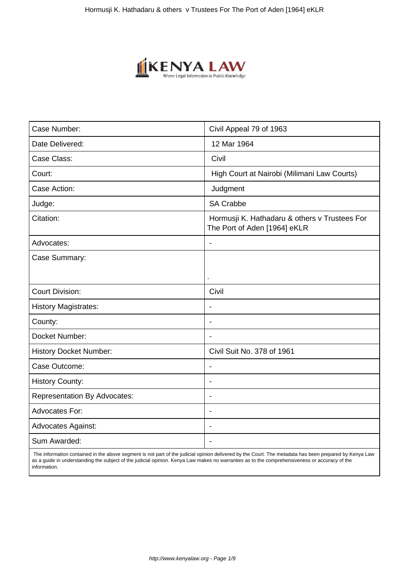

| Case Number:                        | Civil Appeal 79 of 1963                                                       |
|-------------------------------------|-------------------------------------------------------------------------------|
| Date Delivered:                     | 12 Mar 1964                                                                   |
| Case Class:                         | Civil                                                                         |
| Court:                              | High Court at Nairobi (Milimani Law Courts)                                   |
| Case Action:                        | Judgment                                                                      |
| Judge:                              | <b>SA Crabbe</b>                                                              |
| Citation:                           | Hormusji K. Hathadaru & others v Trustees For<br>The Port of Aden [1964] eKLR |
| Advocates:                          | $\overline{\phantom{a}}$                                                      |
| Case Summary:                       |                                                                               |
|                                     | ï                                                                             |
| <b>Court Division:</b>              | Civil                                                                         |
| <b>History Magistrates:</b>         | $\blacksquare$                                                                |
| County:                             | $\overline{\phantom{0}}$                                                      |
| Docket Number:                      |                                                                               |
| <b>History Docket Number:</b>       | Civil Suit No. 378 of 1961                                                    |
| Case Outcome:                       | $\overline{\phantom{a}}$                                                      |
| <b>History County:</b>              | $\blacksquare$                                                                |
| <b>Representation By Advocates:</b> |                                                                               |
| Advocates For:                      | $\overline{\phantom{a}}$                                                      |
| <b>Advocates Against:</b>           | ÷                                                                             |
| Sum Awarded:                        |                                                                               |

 The information contained in the above segment is not part of the judicial opinion delivered by the Court. The metadata has been prepared by Kenya Law as a guide in understanding the subject of the judicial opinion. Kenya Law makes no warranties as to the comprehensiveness or accuracy of the information.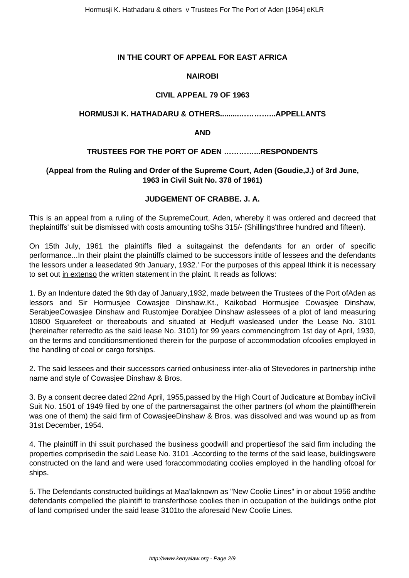# **IN THE COURT OF APPEAL FOR EAST AFRICA**

# **NAIROBI**

# **CIVIL APPEAL 79 OF 1963**

### **HORMUSJI K. HATHADARU & OTHERS.........…………...APPELLANTS**

#### **AND**

### **TRUSTEES FOR THE PORT OF ADEN …………...RESPONDENTS**

# **(Appeal from the Ruling and Order of the Supreme Court, Aden (Goudie,J.) of 3rd June, 1963 in Civil Suit No. 378 of 1961)**

### **JUDGEMENT OF CRABBE. J. A.**

This is an appeal from a ruling of the SupremeCourt, Aden, whereby it was ordered and decreed that theplaintiffs' suit be dismissed with costs amounting toShs 315/- (Shillings'three hundred and fifteen).

On 15th July, 1961 the plaintiffs filed a suitagainst the defendants for an order of specific performance...In their plaint the plaintiffs claimed to be successors intitle of lessees and the defendants the lessors under a leasedated 9th January, 1932.' For the purposes of this appeal Ithink it is necessary to set out in extenso the written statement in the plaint. It reads as follows:

1. By an Indenture dated the 9th day of January,1932, made between the Trustees of the Port ofAden as lessors and Sir Hormusjee Cowasjee Dinshaw,Kt., Kaikobad Hormusjee Cowasjee Dinshaw, SerabjeeCowasjee Dinshaw and Rustomjee Dorabjee Dinshaw aslessees of a plot of land measuring 10800 Squarefeet or thereabouts and situated at Hedjuff wasleased under the Lease No. 3101 (hereinafter referredto as the said lease No. 3101) for 99 years commencingfrom 1st day of April, 1930, on the terms and conditionsmentioned therein for the purpose of accommodation ofcoolies employed in the handling of coal or cargo forships.

2. The said lessees and their successors carried onbusiness inter-alia of Stevedores in partnership inthe name and style of Cowasjee Dinshaw & Bros.

3. By a consent decree dated 22nd April, 1955,passed by the High Court of Judicature at Bombay inCivil Suit No. 1501 of 1949 filed by one of the partnersagainst the other partners (of whom the plaintiffherein was one of them) the said firm of CowasjeeDinshaw & Bros. was dissolved and was wound up as from 31st December, 1954.

4. The plaintiff in thi ssuit purchased the business goodwill and propertiesof the said firm including the properties comprisedin the said Lease No. 3101 .According to the terms of the said lease, buildingswere constructed on the land and were used foraccommodating coolies employed in the handling ofcoal for ships.

5. The Defendants constructed buildings at Maa'laknown as "New Coolie Lines" in or about 1956 andthe defendants compelled the plaintiff to transferthose coolies then in occupation of the buildings onthe plot of land comprised under the said lease 3101to the aforesaid New Coolie Lines.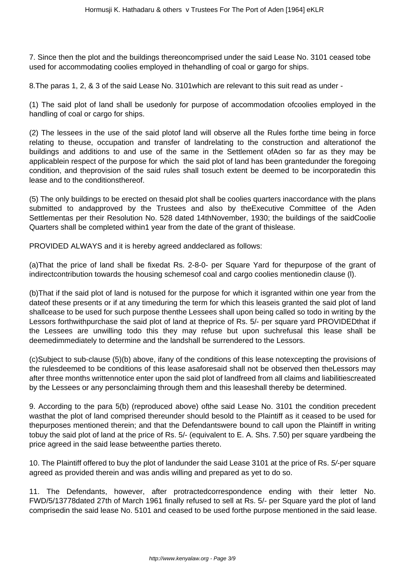7. Since then the plot and the buildings thereoncomprised under the said Lease No. 3101 ceased tobe used for accommodating coolies employed in thehandling of coal or gargo for ships.

8.The paras 1, 2, & 3 of the said Lease No. 3101which are relevant to this suit read as under -

(1) The said plot of land shall be usedonly for purpose of accommodation ofcoolies employed in the handling of coal or cargo for ships.

(2) The lessees in the use of the said plotof land will observe all the Rules forthe time being in force relating to theuse, occupation and transfer of landrelating to the construction and alterationof the buildings and additions to and use of the same in the Settlement ofAden so far as they may be applicablein respect of the purpose for which the said plot of land has been grantedunder the foregoing condition, and theprovision of the said rules shall tosuch extent be deemed to be incorporatedin this lease and to the conditionsthereof.

(5) The only buildings to be erected on thesaid plot shall be coolies quarters inaccordance with the plans submitted to andapproved by the Trustees and also by theExecutive Committee of the Aden Settlementas per their Resolution No. 528 dated 14thNovember, 1930; the buildings of the saidCoolie Quarters shall be completed within1 year from the date of the grant of thislease.

PROVIDED ALWAYS and it is hereby agreed anddeclared as follows:

(a)That the price of land shall be fixedat Rs. 2-8-0- per Square Yard for thepurpose of the grant of indirectcontribution towards the housing schemesof coal and cargo coolies mentionedin clause (l).

(b)That if the said plot of land is notused for the purpose for which it isgranted within one year from the dateof these presents or if at any timeduring the term for which this leaseis granted the said plot of land shallcease to be used for such purpose thenthe Lessees shall upon being called so todo in writing by the Lessors forthwithpurchase the said plot of land at theprice of Rs. 5/- per square yard PROVIDEDthat if the Lessees are unwilling todo this they may refuse but upon suchrefusal this lease shall be deemedimmediately to determine and the landshall be surrendered to the Lessors.

(c)Subject to sub-clause (5)(b) above, ifany of the conditions of this lease notexcepting the provisions of the rulesdeemed to be conditions of this lease asaforesaid shall not be observed then theLessors may after three months writtennotice enter upon the said plot of landfreed from all claims and liabilitiescreated by the Lessees or any personclaiming through them and this leaseshall thereby be determined.

9. According to the para 5(b) (reproduced above) ofthe said Lease No. 3101 the condition precedent wasthat the plot of land comprised thereunder should besold to the Plaintiff as it ceased to be used for thepurposes mentioned therein; and that the Defendantswere bound to call upon the Plaintiff in writing tobuy the said plot of land at the price of Rs. 5/- (equivalent to E. A. Shs. 7.50) per square yardbeing the price agreed in the said lease betweenthe parties thereto.

10. The Plaintiff offered to buy the plot of landunder the said Lease 3101 at the price of Rs. 5/-per square agreed as provided therein and was andis willing and prepared as yet to do so.

11. The Defendants, however, after protractedcorrespondence ending with their letter No. FWD/5/13778dated 27th of March 1961 finally refused to sell at Rs. 5/- per Square yard the plot of land comprisedin the said lease No. 5101 and ceased to be used forthe purpose mentioned in the said lease.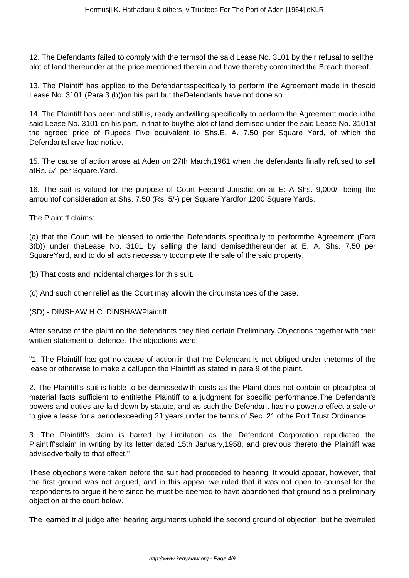12. The Defendants failed to comply with the termsof the said Lease No. 3101 by their refusal to sellthe plot of land thereunder at the price mentioned therein and have thereby committed the Breach thereof.

13. The Plaintiff has applied to the Defendantsspecifically to perform the Agreement made in thesaid Lease No. 3101 (Para 3 (b))on his part but theDefendants have not done so.

14. The Plaintiff has been and still is, ready andwilling specifically to perform the Agreement made inthe said Lease No. 3101 on his part, in that to buythe plot of land demised under the said Lease No. 3101at the agreed price of Rupees Five equivalent to Shs.E. A. 7.50 per Square Yard, of which the Defendantshave had notice.

15. The cause of action arose at Aden on 27th March,1961 when the defendants finally refused to sell atRs. 5/- per Square.Yard.

16. The suit is valued for the purpose of Court Feeand Jurisdiction at E: A Shs. 9,000/- being the amountof consideration at Shs. 7.50 (Rs. 5/-) per Square Yardfor 1200 Square Yards.

The Plaintiff claims:

(a) that the Court will be pleased to orderthe Defendants specifically to performthe Agreement (Para 3(b)) under theLease No. 3101 by selling the land demisedthereunder at E. A. Shs. 7.50 per SquareYard, and to do all acts necessary tocomplete the sale of the said property.

(b) That costs and incidental charges for this suit.

(c) And such other relief as the Court may allowin the circumstances of the case.

(SD) - DINSHAW H.C. DINSHAWPlaintiff.

After service of the plaint on the defendants they filed certain Preliminary Objections together with their written statement of defence. The objections were:

"1. The Plaintiff has got no cause of action.in that the Defendant is not obliged under theterms of the lease or otherwise to make a callupon the Plaintiff as stated in para 9 of the plaint.

2. The Plaintiff's suit is liable to be dismissedwith costs as the Plaint does not contain or plead'plea of material facts sufficient to entitlethe Plaintiff to a judgment for specific performance.The Defendant's powers and duties are laid down by statute, and as such the Defendant has no powerto effect a sale or to give a lease for a periodexceeding 21 years under the terms of Sec. 21 ofthe Port Trust Ordinance.

3. The Plaintiff's claim is barred by Limitation as the Defendant Corporation repudiated the Plaintiff'sclaim in writing by its letter dated 15th January,1958, and previous thereto the Plaintiff was advisedverbally to that effect."

These objections were taken before the suit had proceeded to hearing. It would appear, however, that the first ground was not argued, and in this appeal we ruled that it was not open to counsel for the respondents to argue it here since he must be deemed to have abandoned that ground as a preliminary objection at the court below.

The learned trial judge after hearing arguments upheld the second ground of objection, but he overruled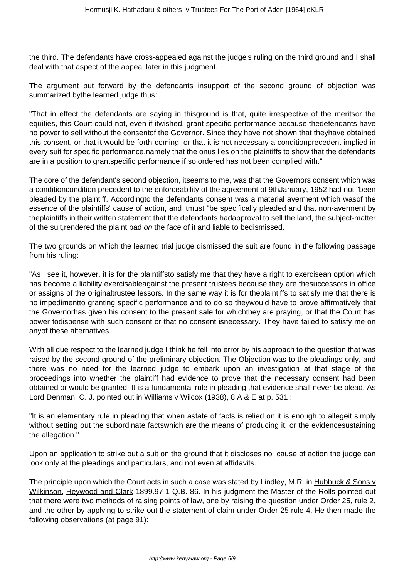the third. The defendants have cross-appealed against the judge's ruling on the third ground and I shall deal with that aspect of the appeal later in this judgment.

The argument put forward by the defendants insupport of the second ground of objection was summarized bythe learned judge thus:

"That in effect the defendants are saying in thisground is that, quite irrespective of the meritsor the equities, this Court could not, even if itwished, grant specific performance because thedefendants have no power to sell without the consentof the Governor. Since they have not shown that theyhave obtained this consent, or that it would be forth-coming, or that it is not necessary a conditionprecedent implied in every suit for specific performance,namely that the onus lies on the plaintiffs to show that the defendants are in a position to grantspecific performance if so ordered has not been complied with."

The core of the defendant's second objection, itseems to me, was that the Governors consent which was a conditioncondition precedent to the enforceability of the agreement of 9thJanuary, 1952 had not "been pleaded by the plaintiff. Accordingto the defendants consent was a material averment which wasof the essence of the plaintiffs' cause of action, and itmust "be specifically pleaded and that non-averment by theplaintiffs in their written statement that the defendants hadapproval to sell the land, the subject-matter of the suit,rendered the plaint bad on the face of it and liable to bedismissed.

The two grounds on which the learned trial judge dismissed the suit are found in the following passage from his ruling:

"As I see it, however, it is for the plaintiffsto satisfy me that they have a right to exercisean option which has become a liability exercisableagainst the present trustees because they are thesuccessors in office or assigns of the originaltrustee lessors. In the same way it is for theplaintiffs to satisfy me that there is no impedimentto granting specific performance and to do so theywould have to prove affirmatively that the Governorhas given his consent to the present sale for whichthey are praying, or that the Court has power todispense with such consent or that no consent isnecessary. They have failed to satisfy me on anyof these alternatives.

With all due respect to the learned judge I think he fell into error by his approach to the question that was raised by the second ground of the preliminary objection. The Objection was to the pleadings only, and there was no need for the learned judge to embark upon an investigation at that stage of the proceedings into whether the plaintiff had evidence to prove that the necessary consent had been obtained or would be granted. It is a fundamental rule in pleading that evidence shall never be plead. As Lord Denman, C. J. pointed out in Williams v Wilcox (1938), 8 A & E at p. 531 :

"It is an elementary rule in pleading that when astate of facts is relied on it is enough to allegeit simply without setting out the subordinate factswhich are the means of producing it, or the evidencesustaining the allegation."

Upon an application to strike out a suit on the ground that it discloses no cause of action the judge can look only at the pleadings and particulars, and not even at affidavits.

The principle upon which the Court acts in such a case was stated by Lindley, M.R. in Hubbuck & Sons v Wilkinson, Heywood and Clark 1899.97 1 Q.B. 86. In his judgment the Master of the Rolls pointed out that there were two methods of raising points of law, one by raising the question under Order 25, rule 2, and the other by applying to strike out the statement of claim under Order 25 rule 4. He then made the following observations (at page 91):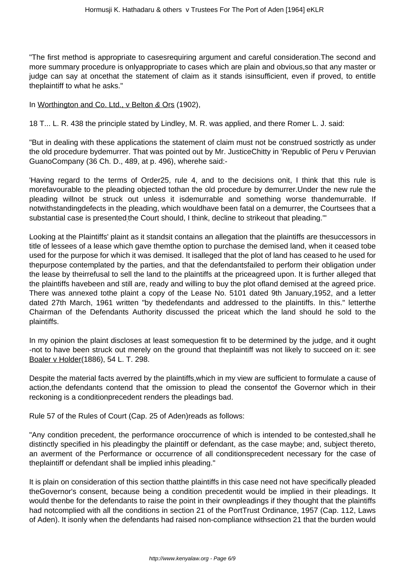"The first method is appropriate to casesrequiring argument and careful consideration.The second and more summary procedure is onlyappropriate to cases which are plain and obvious,so that any master or judge can say at oncethat the statement of claim as it stands isinsufficient, even if proved, to entitle theplaintiff to what he asks."

In Worthington and Co. Ltd., v Belton & Ors (1902),

18 T... L. R. 438 the principle stated by Lindley, M. R. was applied, and there Romer L. J. said:

"But in dealing with these applications the statement of claim must not be construed sostrictly as under the old procedure bydemurrer. That was pointed out by Mr. JusticeChitty in 'Republic of Peru v Peruvian GuanoCompany (36 Ch. D., 489, at p. 496), wherehe said:-

'Having regard to the terms of Order25, rule 4, and to the decisions onit, I think that this rule is morefavourable to the pleading objected tothan the old procedure by demurrer.Under the new rule the pleading willnot be struck out unless it isdemurrable and something worse thandemurrable. If notwithstandingdefects in the pleading, which wouldhave been fatal on a demurrer, the Courtsees that a substantial case is presented<sub>;</sub>the Court should, I think, decline to strikeout that pleading.""

Looking at the Plaintiffs' plaint as it standsit contains an allegation that the plaintiffs are thesuccessors in title of lessees of a lease which gave themthe option to purchase the demised land, when it ceased tobe used for the purpose for which it was demised. It isalleged that the plot of land has ceased to he used for thepurpose contemplated by the parties, and that the defendantsfailed to perform their obligation under the lease by theirrefusal to sell the land to the plaintiffs at the priceagreed upon. It is further alleged that the plaintiffs havebeen and still are, ready and willing to buy the plot ofland demised at the agreed price. There was annexed tothe plaint a copy of the Lease No. 5101 dated 9th January,1952, and a letter dated 27th March, 1961 written "by thedefendants and addressed to the plaintiffs. In this." letterthe Chairman of the Defendants Authority discussed the priceat which the land should he sold to the plaintiffs.

In my opinion the plaint discloses at least somequestion fit to be determined by the judge, and it ought -not to have been struck out merely on the ground that theplaintiff was not likely to succeed on it: see Boaler v Holder(1886), 54 L. T. 298.

Despite the material facts averred by the plaintiffs,which in my view are sufficient to formulate a cause of action,the defendants contend that the omission to plead the consentof the Governor which in their reckoning is a conditionprecedent renders the pleadings bad.

Rule 57 of the Rules of Court (Cap. 25 of Aden)reads as follows:

"Any condition precedent, the performance oroccurrence of which is intended to be contested,shall he distinctly specified in his pleadingby the plaintiff or defendant, as the case maybe; and, subject thereto, an averment of the Performance or occurrence of all conditionsprecedent necessary for the case of theplaintiff or defendant shall be implied inhis pleading."

It is plain on consideration of this section thatthe plaintiffs in this case need not have specifically pleaded theGovernor's consent, because being a condition precedentit would be implied in their pleadings. It would thenbe for the defendants to raise the point in their ownpleadings if they thought that the plaintiffs had notcomplied with all the conditions in section 21 of the PortTrust Ordinance, 1957 (Cap. 112, Laws of Aden). It isonly when the defendants had raised non-compliance withsection 21 that the burden would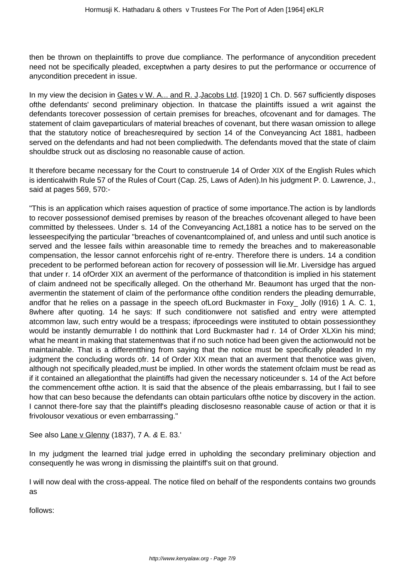then be thrown on theplaintiffs to prove due compliance. The performance of anycondition precedent need not be specifically pleaded, exceptwhen a party desires to put the performance or occurrence of anycondition precedent in issue.

In my view the decision in Gates v W. A... and R. J.Jacobs Ltd. [1920] 1 Ch. D. 567 sufficiently disposes ofthe defendants' second preliminary objection. In thatcase the plaintiffs issued a writ against the defendants torecover possession of certain premises for breaches, ofcovenant and for damages. The statement of claim gaveparticulars of material breaches of covenant, but there wasan omission to allege that the statutory notice of breachesrequired by section 14 of the Conveyancing Act 1881, hadbeen served on the defendants and had not been compliedwith. The defendants moved that the state of claim shouldbe struck out as disclosing no reasonable cause of action.

It therefore became necessary for the Court to construerule 14 of Order XIX of the English Rules which is identicalwith Rule 57 of the Rules of Court (Cap. 25, Laws of Aden).In his judgment P. 0. Lawrence, J., said at pages 569, 570:-

"This is an application which raises aquestion of practice of some importance.The action is by landlords to recover possessionof demised premises by reason of the breaches ofcovenant alleged to have been committed by thelessees. Under s. 14 of the Conveyancing Act,1881 a notice has to be served on the lesseespecifying the particular "breaches of covenantcomplained of, and unless and until such anotice is served and the lessee fails within areasonable time to remedy the breaches and to makereasonable compensation, the lessor cannot enforcehis right of re-entry. Therefore there is unders. 14 a condition precedent to be performed beforean action for recovery of possession will lie.Mr. Liversidge has argued that under r. 14 ofOrder XIX an averment of the performance of thatcondition is implied in his statement of claim andneed not be specifically alleged. On the otherhand Mr. Beaumont has urged that the nonavermentin the statement of claim of the performance ofthe condition renders the pleading demurrable, andfor that he relies on a passage in the speech ofLord Buckmaster in Foxy\_ Jolly (I916) 1 A. C. 1, 8where after quoting. 14 he says: If such conditionwere not satisfied and entry were attempted atcommon law, such entry would be a trespass; ifproceedings were instituted to obtain possessionthey would be instantly demurrable I do notthink that Lord Buckmaster had r. 14 of Order XLXin his mind; what he meant in making that statementwas that if no such notice had been given the actionwould not be maintainable. That is a differentthing from saying that the notice must be specifically pleaded In my judgment the concluding words ofr. 14 of Order XIX mean that an averment that thenotice was given, although not specifically pleaded,must be implied. In other words the statement ofclaim must be read as if it contained an allegationthat the plaintiffs had given the necessary noticeunder s. 14 of the Act before the commencement ofthe action. It is said that the absence of the pleais embarrassing, but I fail to see how that can beso because the defendants can obtain particulars ofthe notice by discovery in the action. I cannot there-fore say that the plaintiff's pleading disclosesno reasonable cause of action or that it is frivolousor vexatious or even embarrassing."

See also Lane v Glenny (1837), 7 A. & E. 83.'

In my judgment the learned trial judge erred in upholding the secondary preliminary objection and consequently he was wrong in dismissing the plaintiff's suit on that ground.

I will now deal with the cross-appeal. The notice filed on behalf of the respondents contains two grounds as

follows: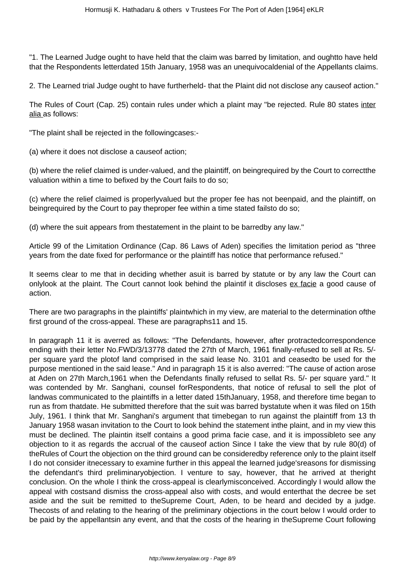"1. The Learned Judge ought to have held that the claim was barred by limitation, and oughtto have held that the Respondents letterdated 15th January, 1958 was an unequivocaldenial of the Appellants claims.

2. The Learned trial Judge ought to have furtherheld- that the Plaint did not disclose any causeof action."

The Rules of Court (Cap. 25) contain rules under which a plaint may "be rejected. Rule 80 states inter alia as follows:

"The plaint shall be rejected in the followingcases:-

(a) where it does not disclose a causeof action;

(b) where the relief claimed is under-valued, and the plaintiff, on beingrequired by the Court to correctthe valuation within a time to befixed by the Court fails to do so;

(c) where the relief claimed is properlyvalued but the proper fee has not beenpaid, and the plaintiff, on beingrequired by the Court to pay theproper fee within a time stated failsto do so;

(d) where the suit appears from thestatement in the plaint to be barredby any law."

Article 99 of the Limitation Ordinance (Cap. 86 Laws of Aden) specifies the limitation period as "three years from the date fixed for performance or the plaintiff has notice that performance refused."

It seems clear to me that in deciding whether asuit is barred by statute or by any law the Court can onlylook at the plaint. The Court cannot look behind the plaintif it discloses ex facie a good cause of action.

There are two paragraphs in the plaintiffs' plaintwhich in my view, are material to the determination ofthe first ground of the cross-appeal. These are paragraphs11 and 15.

In paragraph 11 it is averred as follows: "The Defendants, however, after protractedcorrespondence ending with their letter No.FWD/3/13778 dated the 27th of March, 1961 finally-refused to sell at Rs. 5/ per square yard the plotof land comprised in the said lease No. 3101 and ceasedto be used for the purpose mentioned in the said lease." And in paragraph 15 it is also averred: "The cause of action arose at Aden on 27th March,1961 when the Defendants finally refused to sellat Rs. 5/- per square yard." It was contended by Mr. Sanghani, counsel forRespondents, that notice of refusal to sell the plot of landwas communicated to the plaintiffs in a letter dated 15thJanuary, 1958, and therefore time began to run as from thatdate. He submitted therefore that the suit was barred bystatute when it was filed on 15th July, 1961. I think that Mr. Sanghani's argument that timebegan to run against the plaintiff from 13 th January 1958 wasan invitation to the Court to look behind the statement inthe plaint, and in my view this must be declined. The plaintin itself contains a good prima facie case, and it is impossibleto see any objection to it as regards the accrual of the causeof action Since I take the view that by rule 80(d) of theRules of Court the objection on the third ground can be consideredby reference only to the plaint itself I do not consider itnecessary to examine further in this appeal the learned judge'sreasons for dismissing the defendant's third preliminaryobjection. I venture to say, however, that he arrived at theright conclusion. On the whole I think the cross-appeal is clearlymisconceived. Accordingly I would allow the appeal with costsand dismiss the cross-appeal also with costs, and would enterthat the decree be set aside and the suit be remitted to theSupreme Court, Aden, to be heard and decided by a judge. Thecosts of and relating to the hearing of the preliminary objections in the court below I would order to be paid by the appellantsin any event, and that the costs of the hearing in theSupreme Court following